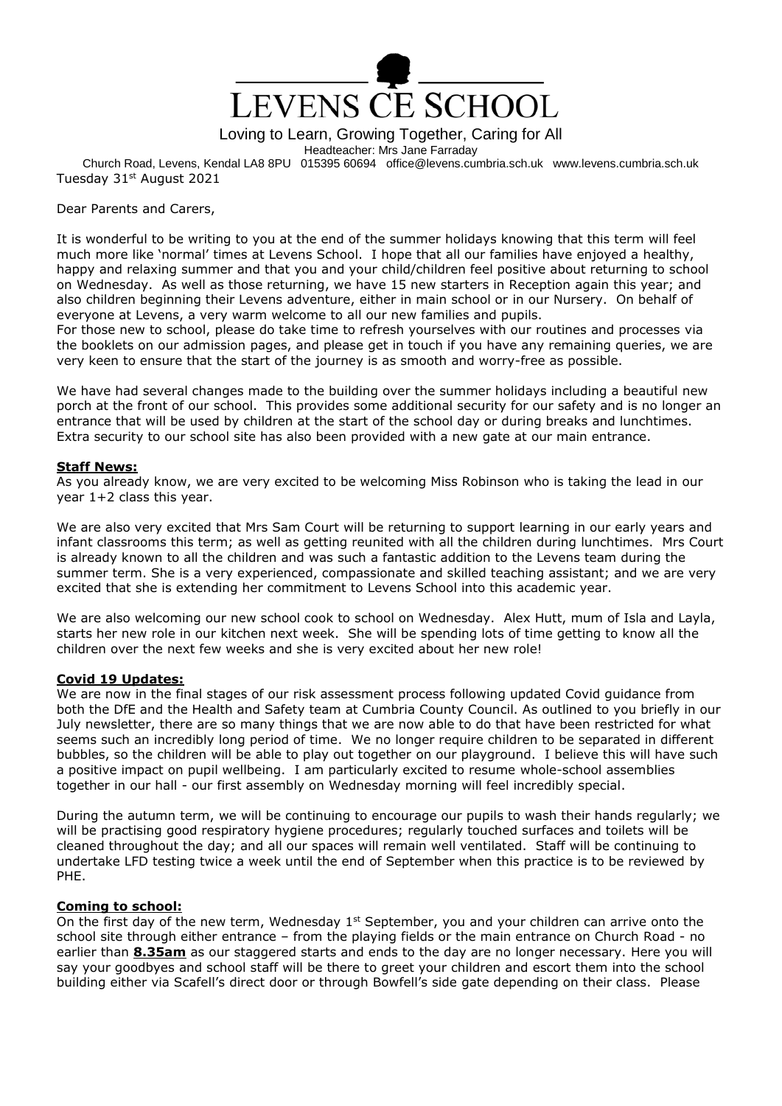

Loving to Learn, Growing Together, Caring for All

Headteacher: Mrs Jane Farraday

Church Road, Levens, Kendal LA8 8PU 015395 60694 office@levens.cumbria.sch.uk www.levens.cumbria.sch.uk Tuesday 31<sup>st</sup> August 2021

Dear Parents and Carers,

It is wonderful to be writing to you at the end of the summer holidays knowing that this term will feel much more like 'normal' times at Levens School. I hope that all our families have enjoyed a healthy, happy and relaxing summer and that you and your child/children feel positive about returning to school on Wednesday. As well as those returning, we have 15 new starters in Reception again this year; and also children beginning their Levens adventure, either in main school or in our Nursery. On behalf of everyone at Levens, a very warm welcome to all our new families and pupils.

For those new to school, please do take time to refresh yourselves with our routines and processes via the booklets on our admission pages, and please get in touch if you have any remaining queries, we are very keen to ensure that the start of the journey is as smooth and worry-free as possible.

We have had several changes made to the building over the summer holidays including a beautiful new porch at the front of our school. This provides some additional security for our safety and is no longer an entrance that will be used by children at the start of the school day or during breaks and lunchtimes. Extra security to our school site has also been provided with a new gate at our main entrance.

### **Staff News:**

As you already know, we are very excited to be welcoming Miss Robinson who is taking the lead in our year 1+2 class this year.

We are also very excited that Mrs Sam Court will be returning to support learning in our early years and infant classrooms this term; as well as getting reunited with all the children during lunchtimes. Mrs Court is already known to all the children and was such a fantastic addition to the Levens team during the summer term. She is a very experienced, compassionate and skilled teaching assistant; and we are very excited that she is extending her commitment to Levens School into this academic year.

We are also welcoming our new school cook to school on Wednesday. Alex Hutt, mum of Isla and Layla, starts her new role in our kitchen next week. She will be spending lots of time getting to know all the children over the next few weeks and she is very excited about her new role!

# **Covid 19 Updates:**

We are now in the final stages of our risk assessment process following updated Covid guidance from both the DfE and the Health and Safety team at Cumbria County Council. As outlined to you briefly in our July newsletter, there are so many things that we are now able to do that have been restricted for what seems such an incredibly long period of time. We no longer require children to be separated in different bubbles, so the children will be able to play out together on our playground. I believe this will have such a positive impact on pupil wellbeing. I am particularly excited to resume whole-school assemblies together in our hall - our first assembly on Wednesday morning will feel incredibly special.

During the autumn term, we will be continuing to encourage our pupils to wash their hands regularly; we will be practising good respiratory hygiene procedures; regularly touched surfaces and toilets will be cleaned throughout the day; and all our spaces will remain well ventilated. Staff will be continuing to undertake LFD testing twice a week until the end of September when this practice is to be reviewed by PHE.

# **Coming to school:**

On the first day of the new term, Wednesday  $1<sup>st</sup>$  September, you and your children can arrive onto the school site through either entrance – from the playing fields or the main entrance on Church Road - no earlier than **8.35am** as our staggered starts and ends to the day are no longer necessary. Here you will say your goodbyes and school staff will be there to greet your children and escort them into the school building either via Scafell's direct door or through Bowfell's side gate depending on their class. Please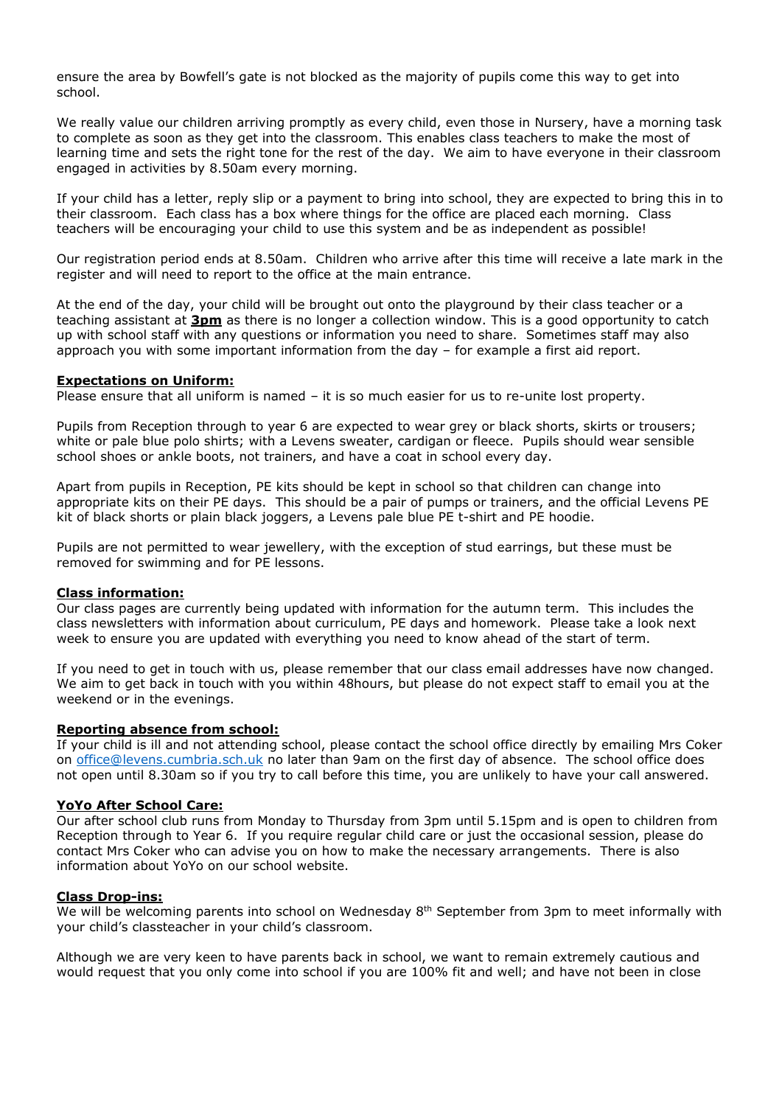ensure the area by Bowfell's gate is not blocked as the majority of pupils come this way to get into school.

We really value our children arriving promptly as every child, even those in Nursery, have a morning task to complete as soon as they get into the classroom. This enables class teachers to make the most of learning time and sets the right tone for the rest of the day. We aim to have everyone in their classroom engaged in activities by 8.50am every morning.

If your child has a letter, reply slip or a payment to bring into school, they are expected to bring this in to their classroom. Each class has a box where things for the office are placed each morning. Class teachers will be encouraging your child to use this system and be as independent as possible!

Our registration period ends at 8.50am. Children who arrive after this time will receive a late mark in the register and will need to report to the office at the main entrance.

At the end of the day, your child will be brought out onto the playground by their class teacher or a teaching assistant at **3pm** as there is no longer a collection window. This is a good opportunity to catch up with school staff with any questions or information you need to share. Sometimes staff may also approach you with some important information from the day – for example a first aid report.

#### **Expectations on Uniform:**

Please ensure that all uniform is named – it is so much easier for us to re-unite lost property.

Pupils from Reception through to year 6 are expected to wear grey or black shorts, skirts or trousers; white or pale blue polo shirts; with a Levens sweater, cardigan or fleece. Pupils should wear sensible school shoes or ankle boots, not trainers, and have a coat in school every day.

Apart from pupils in Reception, PE kits should be kept in school so that children can change into appropriate kits on their PE days. This should be a pair of pumps or trainers, and the official Levens PE kit of black shorts or plain black joggers, a Levens pale blue PE t-shirt and PE hoodie.

Pupils are not permitted to wear jewellery, with the exception of stud earrings, but these must be removed for swimming and for PE lessons.

#### **Class information:**

Our class pages are currently being updated with information for the autumn term. This includes the class newsletters with information about curriculum, PE days and homework. Please take a look next week to ensure you are updated with everything you need to know ahead of the start of term.

If you need to get in touch with us, please remember that our class email addresses have now changed. We aim to get back in touch with you within 48hours, but please do not expect staff to email you at the weekend or in the evenings.

### **Reporting absence from school:**

If your child is ill and not attending school, please contact the school office directly by emailing Mrs Coker on [office@levens.cumbria.sch.uk](mailto:office@levens.cumbria.sch.uk) no later than 9am on the first day of absence. The school office does not open until 8.30am so if you try to call before this time, you are unlikely to have your call answered.

# **YoYo After School Care:**

Our after school club runs from Monday to Thursday from 3pm until 5.15pm and is open to children from Reception through to Year 6. If you require regular child care or just the occasional session, please do contact Mrs Coker who can advise you on how to make the necessary arrangements. There is also information about YoYo on our school website.

#### **Class Drop-ins:**

We will be welcoming parents into school on Wednesday 8<sup>th</sup> September from 3pm to meet informally with your child's classteacher in your child's classroom.

Although we are very keen to have parents back in school, we want to remain extremely cautious and would request that you only come into school if you are 100% fit and well; and have not been in close